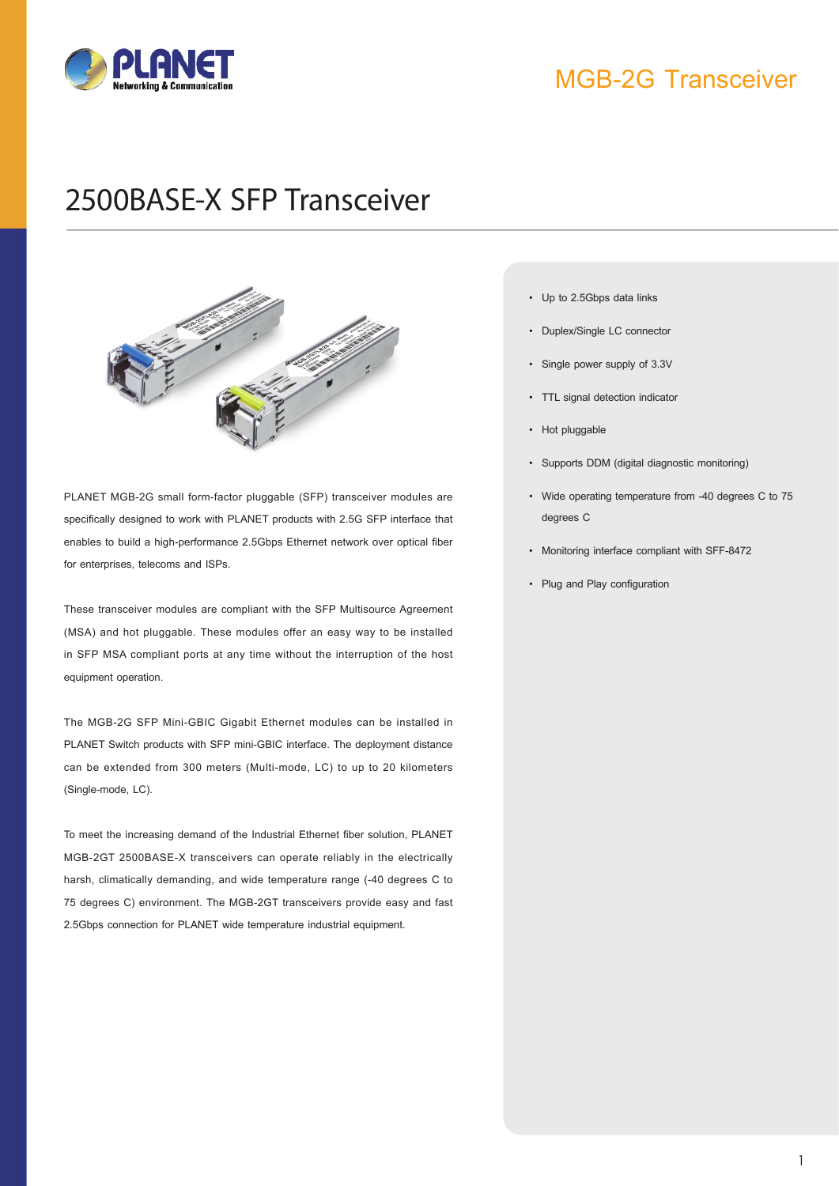

### MGB-2G Transceiver

# 2500BASE-X SFP Transceiver



PLANET MGB-2G small form-factor pluggable (SFP) transceiver modules are specifically designed to work with PLANET products with 2.5G SFP interface that enables to build a high-performance 2.5Gbps Ethernet network over optical fiber for enterprises, telecoms and ISPs.

These transceiver modules are compliant with the SFP Multisource Agreement (MSA) and hot pluggable. These modules offer an easy way to be installed in SFP MSA compliant ports at any time without the interruption of the host equipment operation.

The MGB-2G SFP Mini-GBIC Gigabit Ethernet modules can be installed in PLANET Switch products with SFP mini-GBIC interface. The deployment distance can be extended from 300 meters (Multi-mode, LC) to up to 20 kilometers (Single-mode, LC).

To meet the increasing demand of the Industrial Ethernet fiber solution, PLANET MGB-2GT 2500BASE-X transceivers can operate reliably in the electrically harsh, climatically demanding, and wide temperature range (-40 degrees C to 75 degrees C) environment. The MGB-2GT transceivers provide easy and fast 2.5Gbps connection for PLANET wide temperature industrial equipment.

- **Key Features** • Up to 2.5Gbps data links
	- Duplex/Single LC connector
	- Single power supply of 3.3V
	- • TTL signal detection indicator
	- Hot pluggable
	- • Supports DDM (digital diagnostic monitoring)
	- • Wide operating temperature from -40 degrees C to 75 degrees C
	- • Monitoring interface compliant with SFF-8472
	- • Plug and Play configuration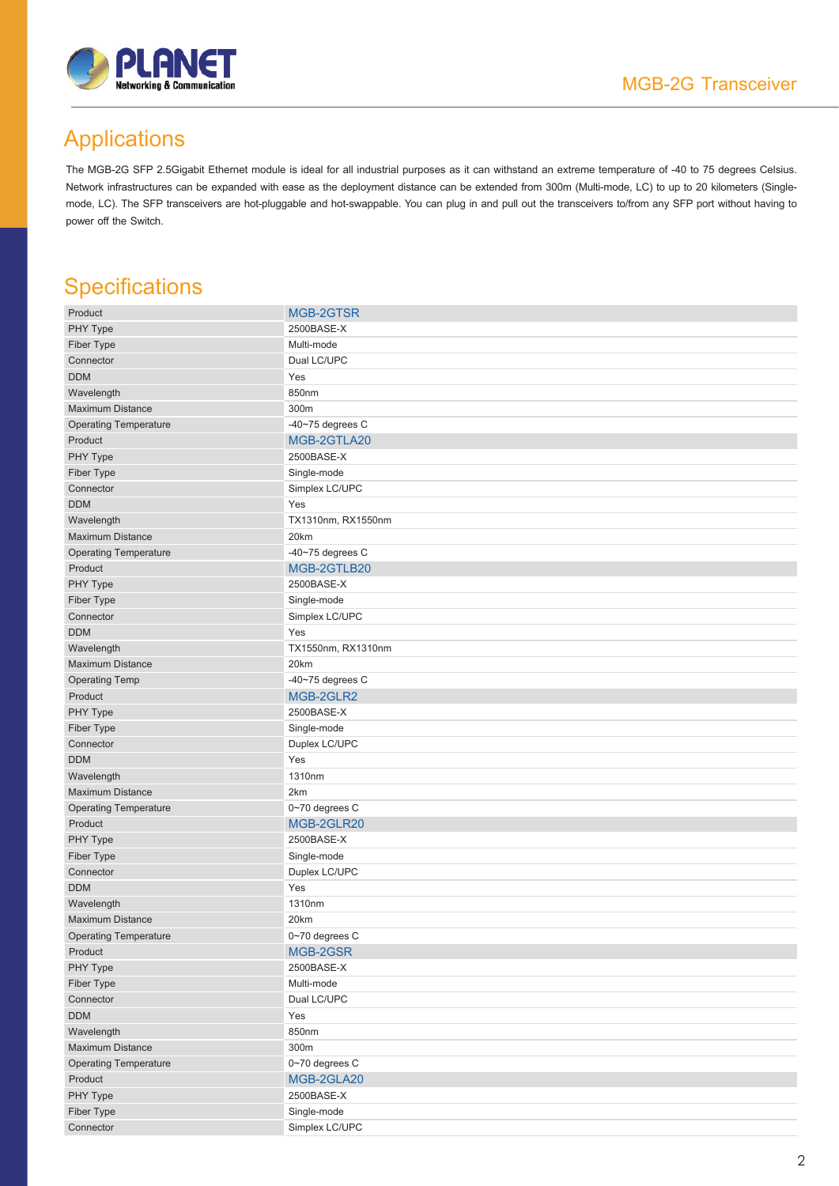

## Applications

The MGB-2G SFP 2.5Gigabit Ethernet module is ideal for all industrial purposes as it can withstand an extreme temperature of -40 to 75 degrees Celsius. Network infrastructures can be expanded with ease as the deployment distance can be extended from 300m (Multi-mode, LC) to up to 20 kilometers (Singlemode, LC). The SFP transceivers are hot-pluggable and hot-swappable. You can plug in and pull out the transceivers to/from any SFP port without having to power off the Switch.

### **Specifications**

| Product                      | MGB-2GTSR             |
|------------------------------|-----------------------|
| PHY Type                     | 2500BASE-X            |
| Fiber Type                   | Multi-mode            |
| Connector                    | Dual LC/UPC           |
| <b>DDM</b>                   | Yes                   |
| Wavelength                   | 850nm                 |
| <b>Maximum Distance</b>      | 300m                  |
| <b>Operating Temperature</b> | -40 $-75$ degrees $C$ |
| Product                      | MGB-2GTLA20           |
| PHY Type                     | 2500BASE-X            |
| Fiber Type                   | Single-mode           |
| Connector                    | Simplex LC/UPC        |
| <b>DDM</b>                   | Yes                   |
| Wavelength                   | TX1310nm, RX1550nm    |
| <b>Maximum Distance</b>      | 20km                  |
| <b>Operating Temperature</b> | -40 $-75$ degrees $C$ |
| Product                      | MGB-2GTLB20           |
| PHY Type                     | 2500BASE-X            |
| Fiber Type                   | Single-mode           |
| Connector                    | Simplex LC/UPC        |
| <b>DDM</b>                   | Yes                   |
| Wavelength                   | TX1550nm, RX1310nm    |
| <b>Maximum Distance</b>      | 20km                  |
| <b>Operating Temp</b>        | $-40-75$ degrees C    |
| Product                      | MGB-2GLR2             |
| PHY Type                     | 2500BASE-X            |
| Fiber Type                   | Single-mode           |
| Connector                    | Duplex LC/UPC         |
| <b>DDM</b>                   | Yes                   |
| Wavelength                   | 1310nm                |
| <b>Maximum Distance</b>      | 2km                   |
| <b>Operating Temperature</b> | 0~70 degrees C        |
| Product                      | MGB-2GLR20            |
| PHY Type                     | 2500BASE-X            |
| Fiber Type                   | Single-mode           |
| Connector                    | Duplex LC/UPC         |
| <b>DDM</b>                   | Yes                   |
| Wavelength                   | 1310nm                |
| <b>Maximum Distance</b>      | 20km                  |
| <b>Operating Temperature</b> | 0~70 degrees C        |
| Product                      | MGB-2GSR              |
| PHY Type                     | 2500BASE-X            |
| Fiber Type                   | Multi-mode            |
| Connector                    | Dual LC/UPC           |
| <b>DDM</b>                   | Yes                   |
| Wavelength                   | 850nm                 |
| <b>Maximum Distance</b>      | 300m                  |
| <b>Operating Temperature</b> | 0~70 degrees C        |
| Product                      | MGB-2GLA20            |
| PHY Type                     | 2500BASE-X            |
| Fiber Type                   | Single-mode           |
| Connector                    | Simplex LC/UPC        |